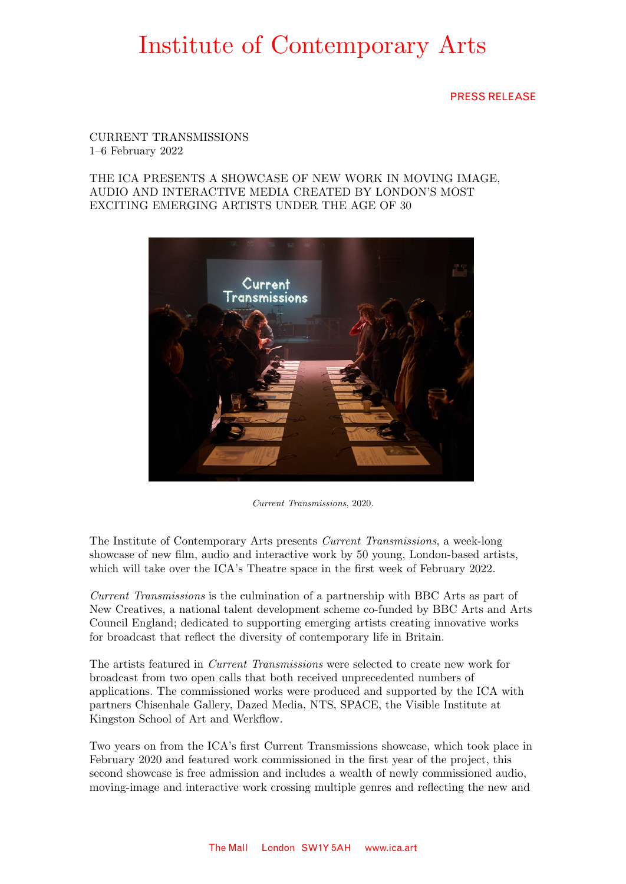PRESS RELEASE

### CURRENT TRANSMISSIONS 1–6 February 2022

### THE ICA PRESENTS A SHOWCASE OF NEW WORK IN MOVING IMAGE, AUDIO AND INTERACTIVE MEDIA CREATED BY LONDON'S MOST EXCITING EMERGING ARTISTS UNDER THE AGE OF 30



*Current Transmissions*, 2020.

The Institute of Contemporary Arts presents *Current Transmissions*, a week-long showcase of new film, audio and interactive work by 50 young, London-based artists, which will take over the ICA's Theatre space in the first week of February 2022.

*Current Transmissions* is the culmination of a partnership with BBC Arts as part of New Creatives, a national talent development scheme co-funded by BBC Arts and Arts Council England; dedicated to supporting emerging artists creating innovative works for broadcast that reflect the diversity of contemporary life in Britain.

The artists featured in *Current Transmissions* were selected to create new work for broadcast from two open calls that both received unprecedented numbers of applications. The commissioned works were produced and supported by the ICA with partners Chisenhale Gallery, Dazed Media, NTS, SPACE, the Visible Institute at Kingston School of Art and Werkflow.

Two years on from the ICA's first Current Transmissions showcase, which took place in February 2020 and featured work commissioned in the first year of the project, this second showcase is free admission and includes a wealth of newly commissioned audio, moving-image and interactive work crossing multiple genres and reflecting the new and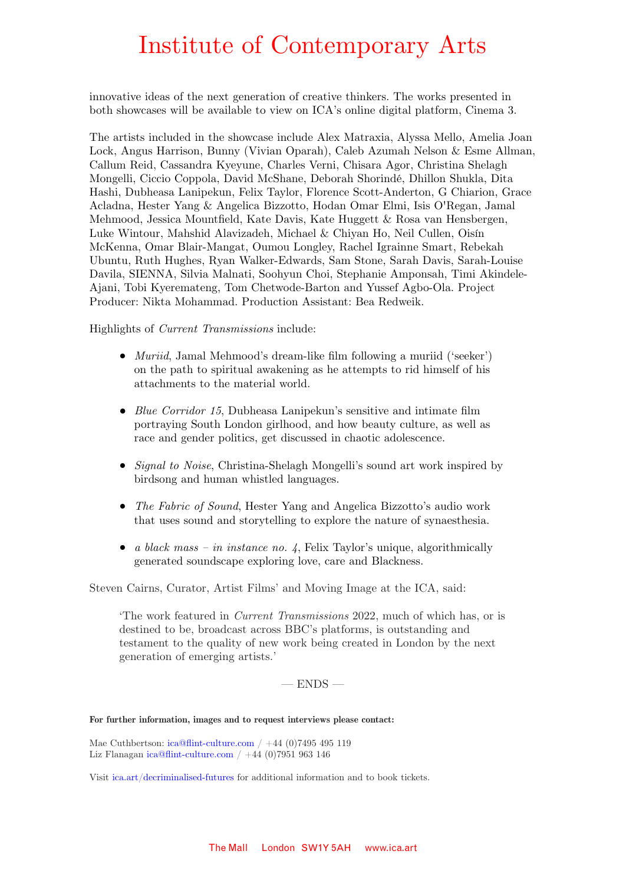innovative ideas of the next generation of creative thinkers. The works presented in both showcases will be available to view on ICA's online digital platform, Cinema 3.

The artists included in the showcase include Alex Matraxia, Alyssa Mello, Amelia Joan Lock, Angus Harrison, Bunny (Vivian Oparah), Caleb Azumah Nelson & Esme Allman, Callum Reid, Cassandra Kyeyune, Charles Verni, Chisara Agor, Christina Shelagh Mongelli, Ciccio Coppola, David McShane, Deborah Shorindé, Dhillon Shukla, Dita Hashi, Dubheasa Lanipekun, Felix Taylor, Florence Scott-Anderton, G Chiarion, Grace Acladna, Hester Yang & Angelica Bizzotto, Hodan Omar Elmi, Isis O'Regan, Jamal Mehmood, Jessica Mountfield, Kate Davis, Kate Huggett & Rosa van Hensbergen, Luke Wintour, Mahshid Alavizadeh, Michael & Chiyan Ho, Neil Cullen, Oisín McKenna, Omar Blair-Mangat, Oumou Longley, Rachel Igrainne Smart, Rebekah Ubuntu, Ruth Hughes, Ryan Walker-Edwards, Sam Stone, Sarah Davis, Sarah-Louise Davila, SIENNA, Silvia Malnati, Soohyun Choi, Stephanie Amponsah, Timi Akindele-Ajani, Tobi Kyeremateng, Tom Chetwode-Barton and Yussef Agbo-Ola. Project Producer: Nikta Mohammad. Production Assistant: Bea Redweik.

Highlights of *Current Transmissions* include:

- **●** *Muriid*, Jamal Mehmood's dream-like film following a muriid ('seeker') on the path to spiritual awakening as he attempts to rid himself of his attachments to the material world.
- *Blue Corridor 15*, Dubheasa Lanipekun's sensitive and intimate film portraying South London girlhood, and how beauty culture, as well as race and gender politics, get discussed in chaotic adolescence.
- **●** *Signal to Noise*, Christina-Shelagh Mongelli's sound art work inspired by birdsong and human whistled languages.
- **●** *The Fabric of Sound*, Hester Yang and Angelica Bizzotto's audio work that uses sound and storytelling to explore the nature of synaesthesia.
- **●** *a black mass in instance no. 4*, Felix Taylor's unique, algorithmically generated soundscape exploring love, care and Blackness.

Steven Cairns, Curator, Artist Films' and Moving Image at the ICA, said:

'The work featured in *Current Transmissions* 2022, much of which has, or is destined to be, broadcast across BBC's platforms, is outstanding and testament to the quality of new work being created in London by the next generation of emerging artists.'

 $-$  ENDS  $-$ 

### **For further information, images and to request interviews please contact:**

Mae Cuthbertson: [ica@flint-culture.com](mailto:ica@flint-culture.com) / +44 (0)7495 495 119 Liz Flanagan [ica@flint-culture.com](mailto:ica@flint-culture.com) /  $+44$  (0)7951 963 146

Visit [ica.art/decriminalised-futures](http://www.ica.art/decriminalised-futures) for additional information and to book tickets.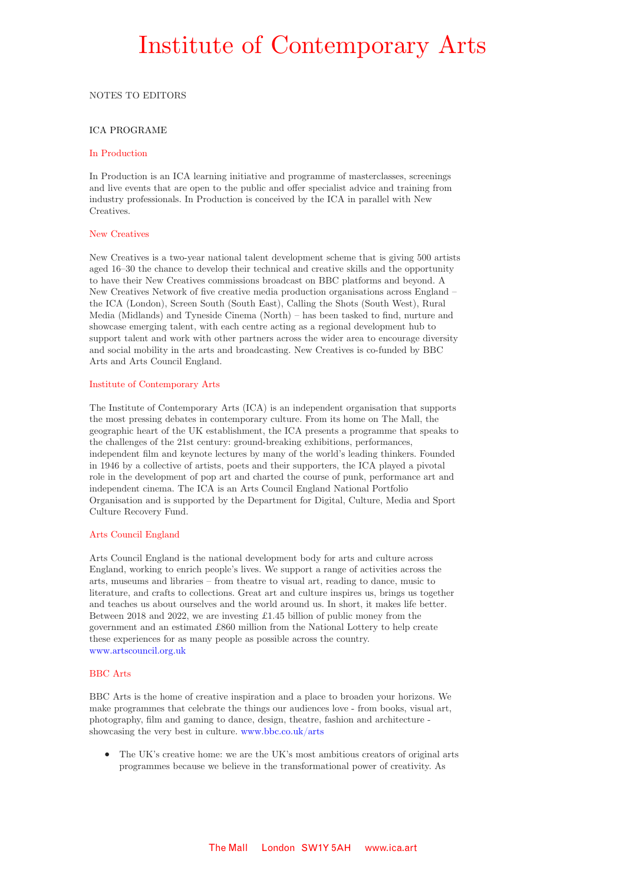#### NOTES TO EDITORS

### ICA PROGRAME

#### In Production

In Production is an ICA learning initiative and programme of masterclasses, screenings and live events that are open to the public and offer specialist advice and training from industry professionals. In Production is conceived by the ICA in parallel with New Creatives.

#### New Creatives

New Creatives is a two-year national talent development scheme that is giving 500 artists aged 16–30 the chance to develop their technical and creative skills and the opportunity to have their New Creatives commissions broadcast on BBC platforms and beyond. A New Creatives Network of five creative media production organisations across England – the ICA (London), Screen South (South East), Calling the Shots (South West), Rural Media (Midlands) and Tyneside Cinema (North) – has been tasked to find, nurture and showcase emerging talent, with each centre acting as a regional development hub to support talent and work with other partners across the wider area to encourage diversity and social mobility in the arts and broadcasting. New Creatives is co-funded by BBC Arts and Arts Council England.

#### Institute of Contemporary Arts

The Institute of Contemporary Arts (ICA) is an independent organisation that supports the most pressing debates in contemporary culture. From its home on The Mall, the geographic heart of the UK establishment, the ICA presents a programme that speaks to the challenges of the 21st century: ground-breaking exhibitions, performances, independent film and keynote lectures by many of the world's leading thinkers. Founded in 1946 by a collective of artists, poets and their supporters, the ICA played a pivotal role in the development of pop art and charted the course of punk, performance art and independent cinema. The ICA is an Arts Council England National Portfolio Organisation and is supported by the Department for Digital, Culture, Media and Sport Culture Recovery Fund.

#### Arts Council England

Arts Council England is the national development body for arts and culture across England, working to enrich people's lives. We support a range of activities across the arts, museums and libraries – from theatre to visual art, reading to dance, music to literature, and crafts to collections. Great art and culture inspires us, brings us together and teaches us about ourselves and the world around us. In short, it makes life better. Between 2018 and 2022, we are investing £1.45 billion of public money from the government and an estimated £860 million from the National Lottery to help create these experiences for as many people as possible across the country. [www.artscouncil.org.uk](http://www.artscouncil.org.uk/)

#### BBC Arts

BBC Arts is the home of creative inspiration and a place to broaden your horizons. We make programmes that celebrate the things our audiences love - from books, visual art, photography, film and gaming to dance, design, theatre, fashion and architecture showcasing the very best in culture. [www.bbc.co.uk/arts](http://www.bbc.co.uk/arts)

**●** The UK's creative home: we are the UK's most ambitious creators of original arts programmes because we believe in the transformational power of creativity. As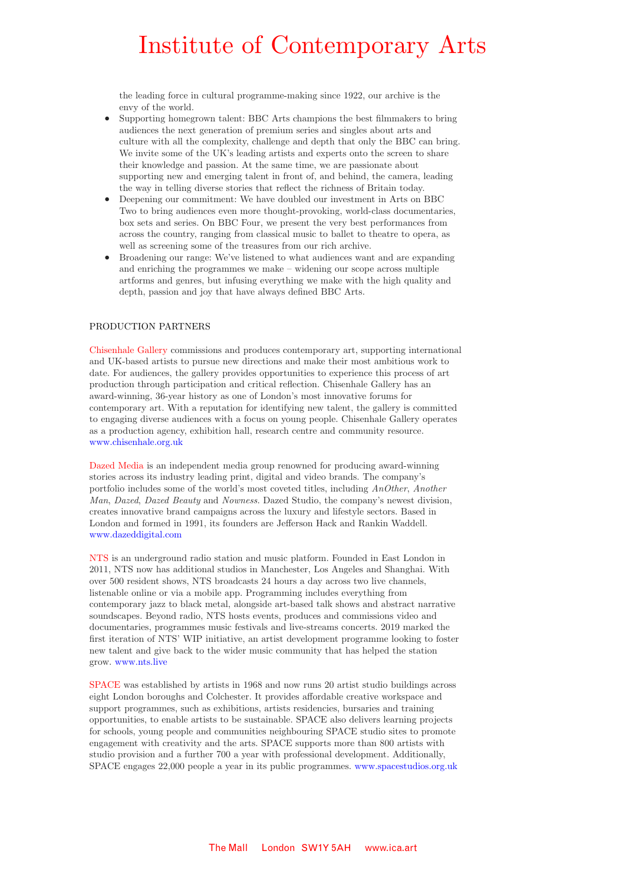the leading force in cultural programme-making since 1922, our archive is the envy of the world.

- Supporting homegrown talent: BBC Arts champions the best filmmakers to bring audiences the next generation of premium series and singles about arts and culture with all the complexity, challenge and depth that only the BBC can bring. We invite some of the UK's leading artists and experts onto the screen to share their knowledge and passion. At the same time, we are passionate about supporting new and emerging talent in front of, and behind, the camera, leading the way in telling diverse stories that reflect the richness of Britain today.
- Deepening our commitment: We have doubled our investment in Arts on BBC Two to bring audiences even more thought-provoking, world-class documentaries, box sets and series. On BBC Four, we present the very best performances from across the country, ranging from classical music to ballet to theatre to opera, as well as screening some of the treasures from our rich archive.
- Broadening our range: We've listened to what audiences want and are expanding and enriching the programmes we make – widening our scope across multiple artforms and genres, but infusing everything we make with the high quality and depth, passion and joy that have always defined BBC Arts.

#### PRODUCTION PARTNERS

Chisenhale Gallery commissions and produces contemporary art, supporting international and UK-based artists to pursue new directions and make their most ambitious work to date. For audiences, the gallery provides opportunities to experience this process of art production through participation and critical reflection. Chisenhale Gallery has an award-winning, 36-year history as one of London's most innovative forums for contemporary art. With a reputation for identifying new talent, the gallery is committed to engaging diverse audiences with a focus on young people. Chisenhale Gallery operates as a production agency, exhibition hall, research centre and community resource. [www.chisenhale.org.uk](http://www.chisenhale.org.uk/)

Dazed Media is an independent media group renowned for producing award-winning stories across its industry leading print, digital and video brands. The company's portfolio includes some of the world's most coveted titles, including *AnOther*, *Another Man*, *Dazed*, *Dazed Beauty* and *Nowness*. Dazed Studio, the company's newest division, creates innovative brand campaigns across the luxury and lifestyle sectors. Based in London and formed in 1991, its founders are Jefferson Hack and Rankin Waddell. [www.dazeddigital.com](http://www.dazeddigital.com/) 

NTS is an underground radio station and music platform. Founded in East London in 2011, NTS now has additional studios in Manchester, Los Angeles and Shanghai. With over 500 resident shows, NTS broadcasts 24 hours a day across two live channels, listenable online or via a mobile app. Programming includes everything from contemporary jazz to black metal, alongside art-based talk shows and abstract narrative soundscapes. Beyond radio, NTS hosts events, produces and commissions video and documentaries, programmes music festivals and live-streams concerts. 2019 marked the first iteration of NTS' WIP initiative, an artist development programme looking to foster new talent and give back to the wider music community that has helped the station grow. [www.nts.live](http://www.nts.live/)

SPACE was established by artists in 1968 and now runs 20 artist studio buildings across eight London boroughs and Colchester. It provides affordable creative workspace and support programmes, such as exhibitions, artists residencies, bursaries and training opportunities, to enable artists to be sustainable. SPACE also delivers learning projects for schools, young people and communities neighbouring SPACE studio sites to promote engagement with creativity and the arts. SPACE supports more than 800 artists with studio provision and a further 700 a year with professional development. Additionally, SPACE engages 22,000 people a year in its public programmes. [www.spacestudios.org.uk](http://www.spacestudios.org.uk/)